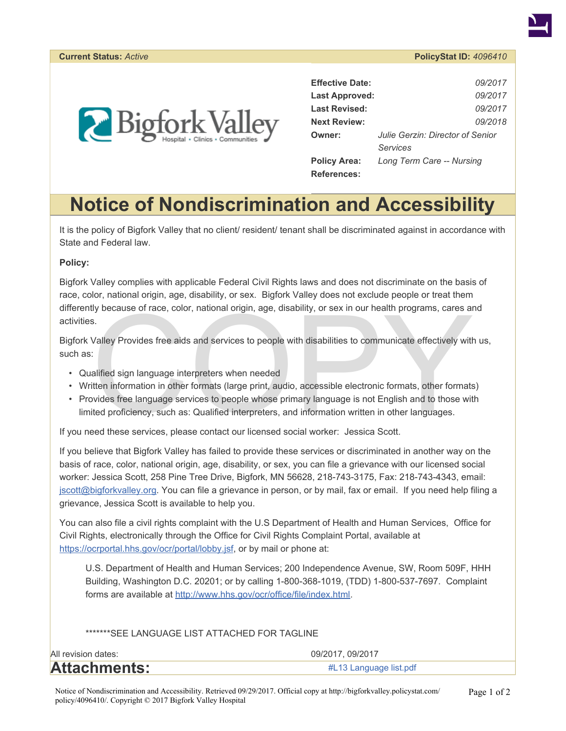



| <b>Effective Date:</b> | 09/2017                          |
|------------------------|----------------------------------|
| <b>Last Approved:</b>  | 09/2017                          |
| <b>Last Revised:</b>   | 09/2017                          |
| <b>Next Review:</b>    | 09/2018                          |
| Owner:                 | Julie Gerzin: Director of Senior |
|                        | Services                         |
| <b>Policy Area:</b>    | Long Term Care -- Nursing        |
| <b>References:</b>     |                                  |

## **Notice of Nondiscrimination and Accessibility**

It is the policy of Bigfork Valley that no client/ resident/ tenant shall be discriminated against in accordance with State and Federal law.

## **Policy:**

Bigfork Valley complies with applicable Federal Civil Rights laws and does not discriminate on the basis of race, color, national origin, age, disability, or sex. Bigfork Valley does not exclude people or treat them differently because of race, color, national origin, age, disability, or sex in our health programs, cares and activities.

Bigfork Valley Provides free aids and services to people with disabilities to communicate effectively with us, such as:

- Qualified sign language interpreters when needed
- Written information in other formats (large print, audio, accessible electronic formats, other formats)
- ily because of race, color, national origin, age, disability, or sex in our health programs, cares are safesting and services to people with disabilities to communicate effectively with the Valley Provides free aids and se • Provides free language services to people whose primary language is not English and to those with limited proficiency, such as: Qualified interpreters, and information written in other languages.

If you need these services, please contact our licensed social worker: Jessica Scott.

If you believe that Bigfork Valley has failed to provide these services or discriminated in another way on the basis of race, color, national origin, age, disability, or sex, you can file a grievance with our licensed social worker: Jessica Scott, 258 Pine Tree Drive, Bigfork, MN 56628, 218-743-3175, Fax: 218-743-4343, email: [jscott@bigforkvalley.org](mailto:jscott@bigforkvalley.org). You can file a grievance in person, or by mail, fax or email. If you need help filing a grievance, Jessica Scott is available to help you.

You can also file a civil rights complaint with the U.S Department of Health and Human Services, Office for Civil Rights, electronically through the Office for Civil Rights Complaint Portal, available at [https://ocrportal.hhs.gov/ocr/portal/lobby.jsf,](https://ocrportal.hhs.gov/ocr/portal/lobby.jsf) or by mail or phone at:

U.S. Department of Health and Human Services; 200 Independence Avenue, SW, Room 509F, HHH Building, Washington D.C. 20201; or by calling 1-800-368-1019, (TDD) 1-800-537-7697. Complaint forms are available at [http://www.hhs.gov/ocr/office/file/index.html.](http://www.hhs.gov/ocr/office/file/index.html)

\*\*\*\*\*\*\*SEE LANGUAGE LIST ATTACHED FOR TAGLINE

| All revision dates: | 09/2017, 09/2017       |
|---------------------|------------------------|
| <b>Attachments:</b> | #L13 Language list.pdf |